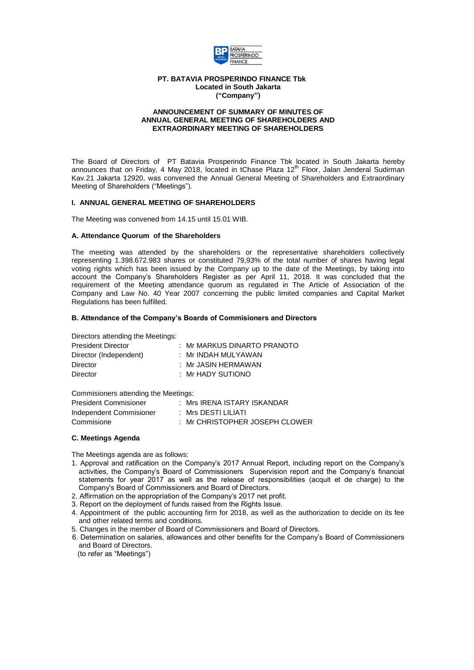

### **PT. BATAVIA PROSPERINDO FINANCE Tbk Located in South Jakarta ("Company")**

### **ANNOUNCEMENT OF SUMMARY OF MINUTES OF ANNUAL GENERAL MEETING OF SHAREHOLDERS AND EXTRAORDINARY MEETING OF SHAREHOLDERS**

The Board of Directors of PT Batavia Prosperindo Finance Tbk located in South Jakarta hereby announces that on Friday, 4 May 2018, located in tChase Plaza 12<sup>th</sup> Floor, Jalan Jenderal Sudirman Kav.21 Jakarta 12920, was convened the Annual General Meeting of Shareholders and Extraordinary Meeting of Shareholders ("Meetings").

### **I. ANNUAL GENERAL MEETING OF SHAREHOLDERS**

The Meeting was convened from 14.15 until 15.01 WIB.

## **A. Attendance Quorum of the Shareholders**

The meeting was attended by the shareholders or the representative shareholders collectively representing 1.398.672.983 shares or constituted 79,93% of the total number of shares having legal voting rights which has been issued by the Company up to the date of the Meetings, by taking into account the Company's Shareholders Register as per April 11, 2018. It was concluded that the requirement of the Meeting attendance quorum as regulated in The Article of Association of the Company and Law No. 40 Year 2007 concerning the public limited companies and Capital Market Regulations has been fulfilled.

## **B. Attendance of the Company's Boards of Commisioners and Directors**

Directors attending the Meetings:

| : Mr MARKUS DINARTO PRANOTO |
|-----------------------------|
| : Mr INDAH MULYAWAN         |
| : Mr JASIN HERMAWAN         |
| : Mr HADY SUTIONO           |
|                             |

Commisioners attending the Meetings:

| <b>President Commisioner</b> | $\therefore$ Mrs IRENA ISTARY ISKANDAR |
|------------------------------|----------------------------------------|
| Independent Commisioner      | : Mrs DESTI LILIATI                    |
| Commisione                   | : Mr CHRISTOPHER JOSEPH CLOWER         |

## **C. Meetings Agenda**

The Meetings agenda are as follows:

- 1. Approval and ratification on the Company's 2017 Annual Report, including report on the Company's activities, the Company's Board of Commissioners Supervision report and the Company's financial statements for year 2017 as well as the release of responsibilities (acquit et de charge) to the Company's Board of Commissioners and Board of Directors.
- 2. Affirmation on the appropriation of the Company's 2017 net profit.
- 3. Report on the deployment of funds raised from the Rights Issue.
- 4. Appointment of the public accounting firm for 2018, as well as the authorization to decide on its fee and other related terms and conditions.
- 5. Changes in the member of Board of Commissioners and Board of Directors.
- 6. Determination on salaries, allowances and other benefits for the Company's Board of Commissioners and Board of Directors.
- (to refer as "Meetings")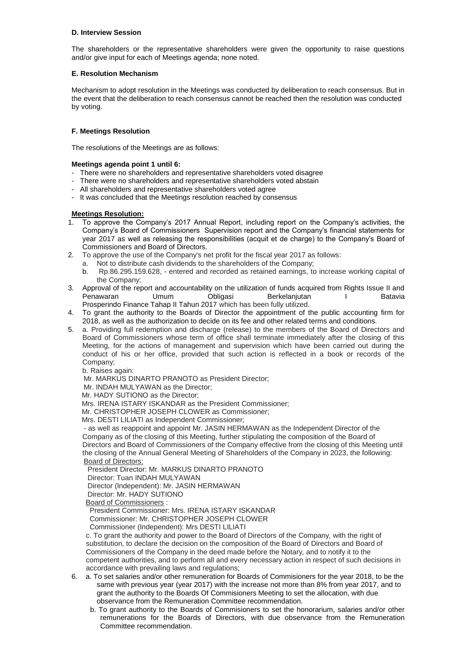## **D. Interview Session**

The shareholders or the representative shareholders were given the opportunity to raise questions and/or give input for each of Meetings agenda; none noted.

# **E. Resolution Mechanism**

Mechanism to adopt resolution in the Meetings was conducted by deliberation to reach consensus. But in the event that the deliberation to reach consensus cannot be reached then the resolution was conducted by voting.

# **F. Meetings Resolution**

The resolutions of the Meetings are as follows:

## **Meetings agenda point 1 until 6:**

- There were no shareholders and representative shareholders voted disagree
- There were no shareholders and representative shareholders voted abstain
- All shareholders and representative shareholders voted agree
- It was concluded that the Meetings resolution reached by consensus

# **Meetings Resolution:**

- 1. To approve the Company's 2017 Annual Report, including report on the Company's activities, the Company's Board of Commissioners Supervision report and the Company's financial statements for year 2017 as well as releasing the responsibilities (acquit et de charge) to the Company's Board of Commissioners and Board of Directors.
- 2. To approve the use of the Company's net profit for the fiscal year 2017 as follows:
	- a. Not to distribute cash dividends to the shareholders of the Company;
	- b. Rp.86.295.159.628, entered and recorded as retained earnings, to increase working capital of the Company;
- 3. Approval of the report and accountability on the utilization of funds acquired from Rights Issue II and Penawaran Umum Obligasi Berkelanjutan I Batavia Prosperindo Finance Tahap II Tahun 2017 which has been fully utilized.
- 4. To grant the authority to the Boards of Director the appointment of the public accounting firm for 2018, as well as the authorization to decide on its fee and other related terms and conditions.
- 5. a. Providing full redemption and discharge (release) to the members of the Board of Directors and Board of Commissioners whose term of office shall terminate immediately after the closing of this Meeting, for the actions of management and supervision which have been carried out during the conduct of his or her office, provided that such action is reflected in a book or records of the Company;

b. Raises again:

Mr. MARKUS DINARTO PRANOTO as President Director;

Mr. INDAH MULYAWAN as the Director;

Mr. HADY SUTIONO as the Director;

Mrs. IRENA ISTARY ISKANDAR as the President Commissioner;

Mr. CHRISTOPHER JOSEPH CLOWER as Commissioner;

Mrs. DESTI LILIATI as Independent Commissioner;

 - as well as reappoint and appoint Mr. JASIN HERMAWAN as the Independent Director of the Company as of the closing of this Meeting, further stipulating the composition of the Board of Directors and Board of Commissioners of the Company effective from the closing of this Meeting until the closing of the Annual General Meeting of Shareholders of the Company in 2023, the following: Board of Directors:

President Director: Mr. MARKUS DINARTO PRANOTO

Director: Tuan INDAH MULYAWAN

Director (Independent): Mr. JASIN HERMAWAN

Director: Mr. HADY SUTIONO

Board of Commissioners :

President Commissioner: Mrs. IRENA ISTARY ISKANDAR

Commissioner: Mr. CHRISTOPHER JOSEPH CLOWER

Commissioner (Independent): Mrs DESTI LILIATI

c. To grant the authority and power to the Board of Directors of the Company, with the right of substitution, to declare the decision on the composition of the Board of Directors and Board of Commissioners of the Company in the deed made before the Notary, and to notify it to the competent authorities, and to perform all and every necessary action in respect of such decisions in accordance with prevailing laws and regulations;

- 6. a. To set salaries and/or other remuneration for Boards of Commisioners for the year 2018, to be the same with previous year (year 2017) with the increase not more than 8% from year 2017, and to grant the authority to the Boards Of Commisioners Meeting to set the allocation, with due observance from the Remuneration Committee recommendation.
	- b. To grant authority to the Boards of Commisioners to set the honorarium, salaries and/or other remunerations for the Boards of Directors, with due observance from the Remuneration Committee recommendation.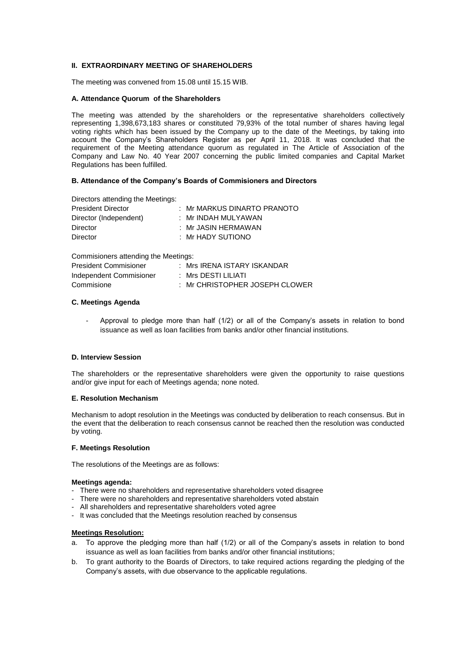# **II. EXTRAORDINARY MEETING OF SHAREHOLDERS**

The meeting was convened from 15.08 until 15.15 WIB.

## **A. Attendance Quorum of the Shareholders**

The meeting was attended by the shareholders or the representative shareholders collectively representing 1,398,673,183 shares or constituted 79,93% of the total number of shares having legal voting rights which has been issued by the Company up to the date of the Meetings, by taking into account the Company's Shareholders Register as per April 11, 2018. It was concluded that the requirement of the Meeting attendance quorum as regulated in The Article of Association of the Company and Law No. 40 Year 2007 concerning the public limited companies and Capital Market Regulations has been fulfilled.

### **B. Attendance of the Company's Boards of Commisioners and Directors**

Directors attending the Meetings:

| <b>President Director</b> | : Mr MARKUS DINARTO PRANOTO |
|---------------------------|-----------------------------|
| Director (Independent)    | : Mr INDAH MULYAWAN         |
| Director                  | : Mr JASIN HERMAWAN         |
| <b>Director</b>           | : Mr HADY SUTIONO           |

Commisioners attending the Meetings:

| <b>President Commisioner</b> | : Mrs IRENA ISTARY ISKANDAR               |
|------------------------------|-------------------------------------------|
| Independent Commisioner      | : Mrs DESTI LILIATI                       |
| Commisione                   | $\therefore$ Mr CHRISTOPHER JOSEPH CLOWER |

### **C. Meetings Agenda**

Approval to pledge more than half (1/2) or all of the Company's assets in relation to bond issuance as well as loan facilities from banks and/or other financial institutions.

#### **D. Interview Session**

The shareholders or the representative shareholders were given the opportunity to raise questions and/or give input for each of Meetings agenda; none noted.

## **E. Resolution Mechanism**

Mechanism to adopt resolution in the Meetings was conducted by deliberation to reach consensus. But in the event that the deliberation to reach consensus cannot be reached then the resolution was conducted by voting.

#### **F. Meetings Resolution**

The resolutions of the Meetings are as follows:

#### **Meetings agenda:**

- There were no shareholders and representative shareholders voted disagree
- There were no shareholders and representative shareholders voted abstain
- All shareholders and representative shareholders voted agree
- It was concluded that the Meetings resolution reached by consensus

## **Meetings Resolution:**

- a. To approve the pledging more than half (1/2) or all of the Company's assets in relation to bond issuance as well as loan facilities from banks and/or other financial institutions;
- b. To grant authority to the Boards of Directors, to take required actions regarding the pledging of the Company's assets, with due observance to the applicable regulations.